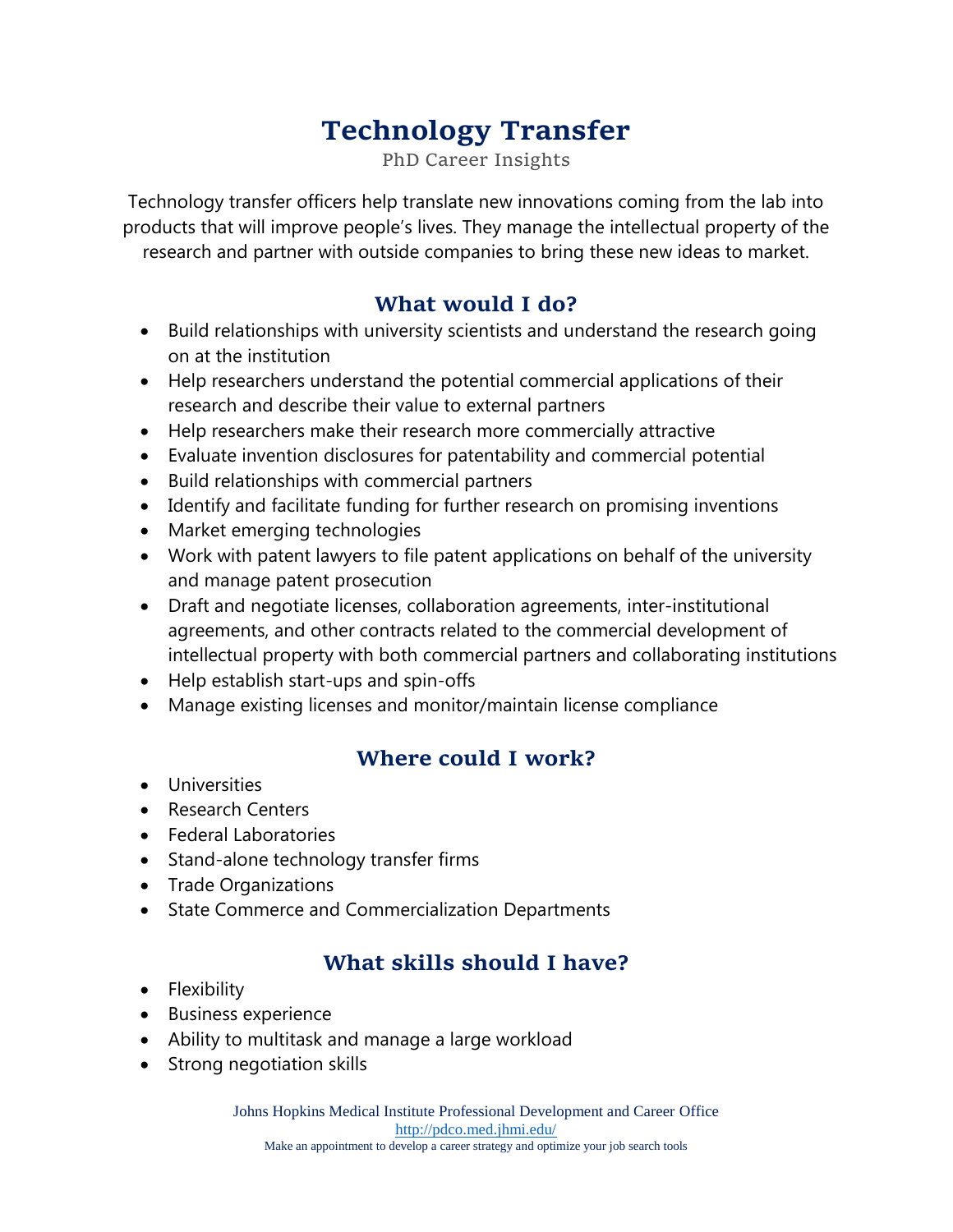# **Technology Transfer**

PhD Career Insights

Technology transfer officers help translate new innovations coming from the lab into products that will improve people's lives. They manage the intellectual property of the research and partner with outside companies to bring these new ideas to market.

#### **What would I do?**

- Build relationships with university scientists and understand the research going on at the institution
- Help researchers understand the potential commercial applications of their research and describe their value to external partners
- Help researchers make their research more commercially attractive
- Evaluate invention disclosures for patentability and commercial potential
- Build relationships with commercial partners
- Identify and facilitate funding for further research on promising inventions
- Market emerging technologies
- Work with patent lawyers to file patent applications on behalf of the university and manage patent prosecution
- Draft and negotiate licenses, collaboration agreements, inter-institutional agreements, and other contracts related to the commercial development of intellectual property with both commercial partners and collaborating institutions
- Help establish start-ups and spin-offs
- Manage existing licenses and monitor/maintain license compliance

## **Where could I work?**

- **•** Universities
- Research Centers
- Federal Laboratories
- Stand-alone technology transfer firms
- Trade Organizations
- State Commerce and Commercialization Departments

# **What skills should I have?**

- Flexibility
- Business experience
- Ability to multitask and manage a large workload
- Strong negotiation skills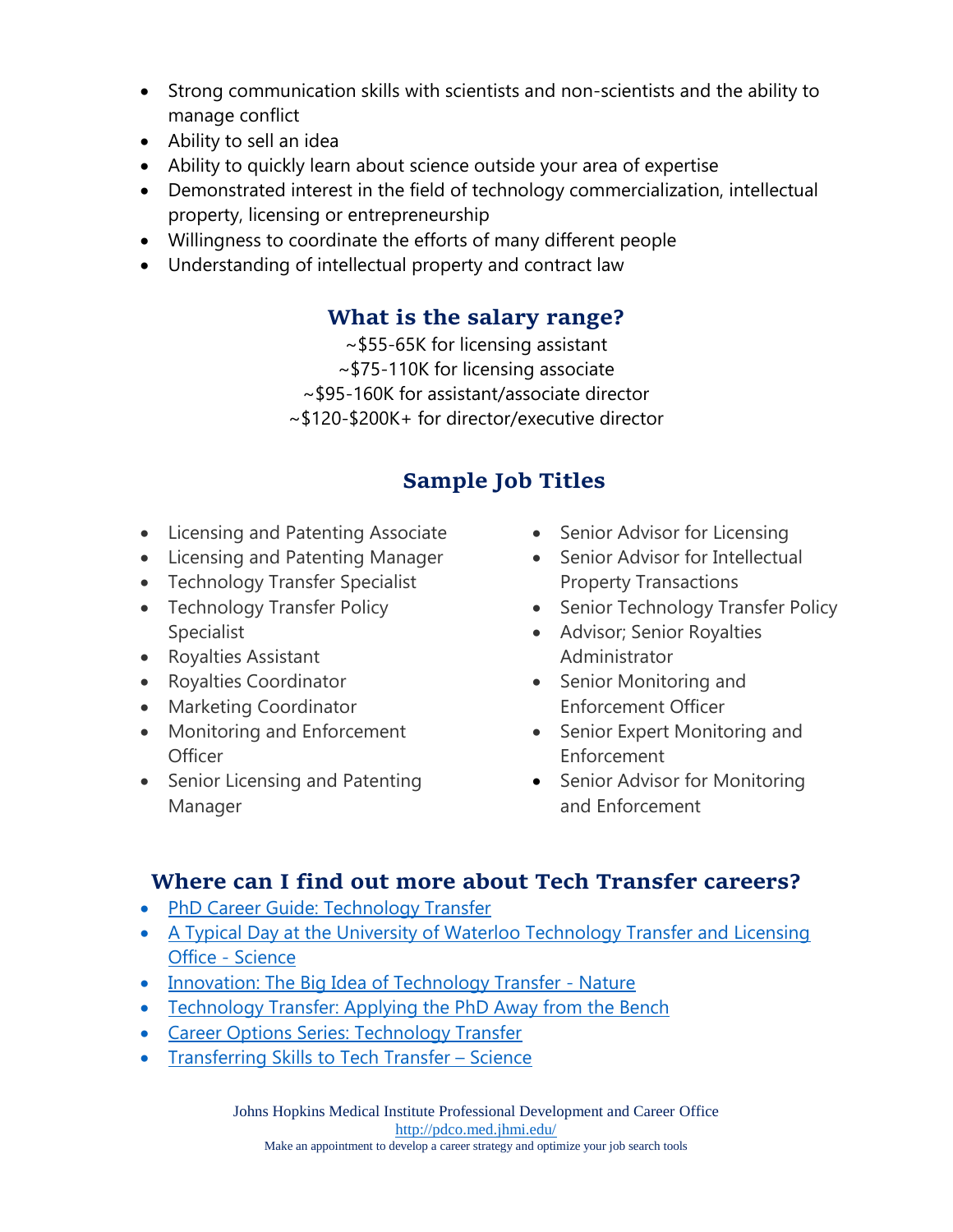- Strong communication skills with scientists and non-scientists and the ability to manage conflict
- Ability to sell an idea
- Ability to quickly learn about science outside your area of expertise
- Demonstrated interest in the field of technology commercialization, intellectual property, licensing or entrepreneurship
- Willingness to coordinate the efforts of many different people
- Understanding of intellectual property and contract law

#### **What is the salary range?**

~\$55-65K for licensing assistant ~\$75-110K for licensing associate ~\$95-160K for assistant/associate director ~\$120-\$200K+ for director/executive director

# **Sample Job Titles**

- Licensing and Patenting Associate
- Licensing and Patenting Manager
- Technology Transfer Specialist
- Technology Transfer Policy Specialist
- Royalties Assistant
- Royalties Coordinator
- Marketing Coordinator
- Monitoring and Enforcement **Officer**
- Senior Licensing and Patenting Manager
- Senior Advisor for Licensing
- Senior Advisor for Intellectual Property Transactions
- Senior Technology Transfer Policy
- Advisor; Senior Royalties Administrator
- Senior Monitoring and Enforcement Officer
- Senior Expert Monitoring and Enforcement
- Senior Advisor for Monitoring and Enforcement

#### **Where can I find out more about Tech Transfer careers?**

- [PhD Career Guide: Technology Transfer](http://www.phdcareerguide.com/technology-transfer.html)
- A Typical Day at the University of Waterloo Technology Transfer and Licensing [Office](http://www.sciencemag.org/careers/1999/11/typical-day-university-waterloo-technology-transfer-and-licensing-office) - Science
- [Innovation: The Big Idea of Technology Transfer -](http://www.nature.com/naturejobs/science/articles/10.1038/nj7393-277a) Nature
- [Technology Transfer: Applying the PhD Away from the Bench](https://www.benchfly.com/blog/technology-transfer-applying-the-phd-away-from-the-bench/)
- [Career Options Series: Technology Transfer](https://oitecareersblog.wordpress.com/2016/02/22/career-options-series-technology-transfer/)
- [Transferring Skills to Tech Transfer](http://www.sciencemag.org/careers/2008/10/transferring-skills-tech-transfer)  Science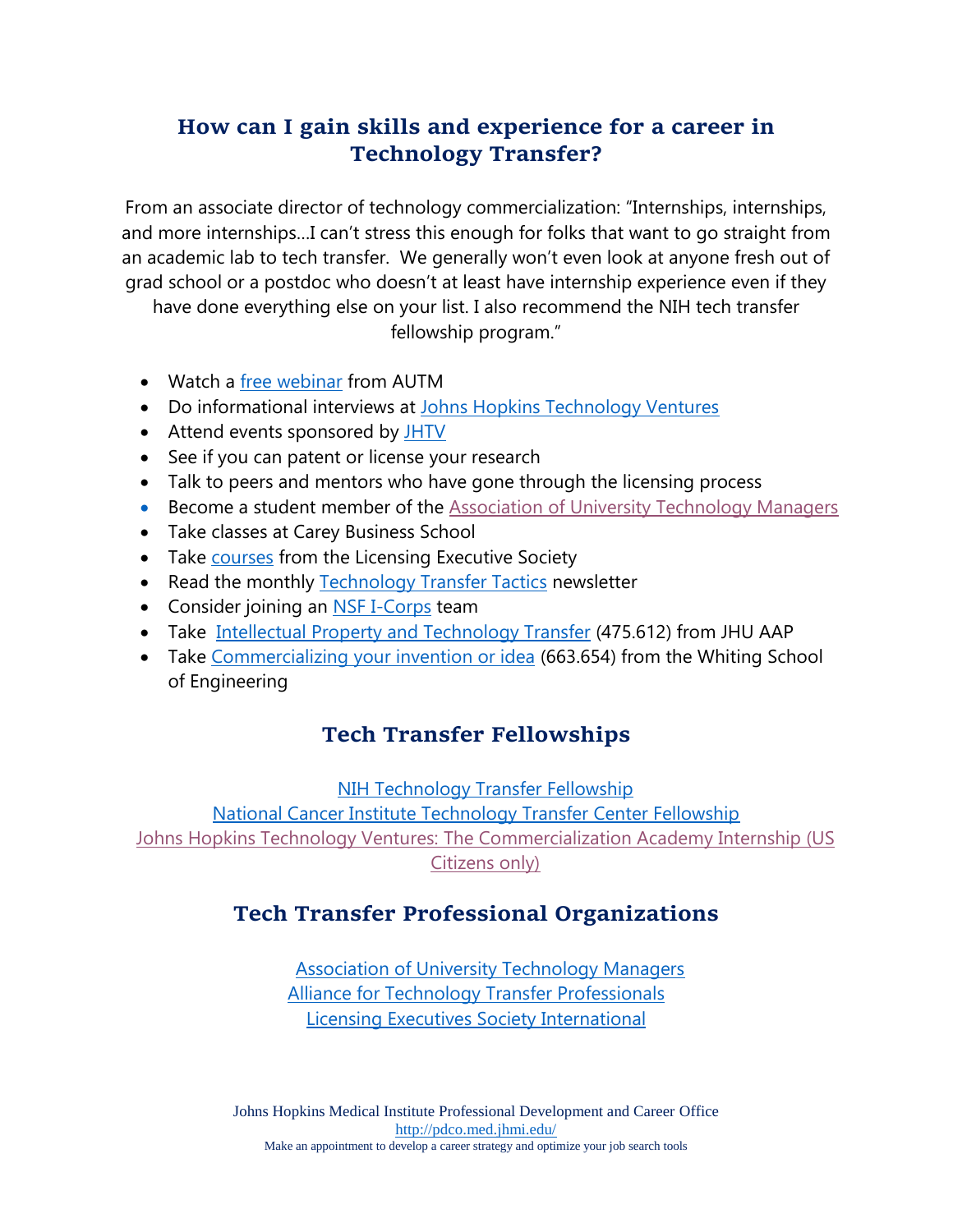## **How can I gain skills and experience for a career in Technology Transfer?**

From an associate director of technology commercialization: "Internships, internships, and more internships…I can't stress this enough for folks that want to go straight from an academic lab to tech transfer. We generally won't even look at anyone fresh out of grad school or a postdoc who doesn't at least have internship experience even if they

have done everything else on your list. I also recommend the NIH tech transfer fellowship program."

- Watch a [free webinar](http://www.autm.net/events-courses/online-learning/free-webinars/) from AUTM
- Do informational interviews at [Johns Hopkins Technology Ventures](https://ventures.jhu.edu/)
- Attend events sponsored by [JHTV](https://ventures.jhu.edu/)
- See if you can patent or license your research
- Talk to peers and mentors who have gone through the licensing process
- Become a student member of the [Association of University Technology Managers](https://autm.net/membership/student-membership)
- Take classes at Carey Business School
- Take [courses](http://www.lesusacanada.org/?education) from the Licensing Executive Society
- Read the monthly [Technology Transfer Tactics](http://techtransfercentral.com/marketplace/ttt/) newsletter
- Consider joining an [NSF I-Corps](https://www.nsf.gov/news/special_reports/i-corps/components.jsp) team
- Take [Intellectual Property and Technology Transfer](http://advanced.jhu.edu/academics/graduate-degree-programs/research-administration-4/course-descriptions/) (475.612) from JHU AAP
- Take [Commercializing your invention or idea](https://engineering.jhu.edu/pdp/courses/modules/) (663.654) from the Whiting School of Engineering

## **Tech Transfer Fellowships**

[NIH Technology Transfer Fellowship](https://www.niaid.nih.gov/research/technology-transfer-fellowship-program)

[National Cancer Institute Technology Transfer Center Fellowship](https://techtransfer.cancer.gov/aboutttc/jointtc) [Johns Hopkins Technology Ventures:](https://ventures.jhu.edu/the-commercialization-academy/) The Commercialization Academy Internship (US [Citizens only\)](https://ventures.jhu.edu/the-commercialization-academy/)

# **Tech Transfer [Professional Organizations](http://www.autm.net/)**

[Association of University Technology Managers](http://www.autm.net/) [Alliance for Technology Transfer Professionals](http://attp.info/) [Licensing Executives Society International](https://www.lesi.org/)

Johns Hopkins Medical Institute Professional Development and Career Office <http://pdco.med.jhmi.edu/> Make an appointment to develop a career strategy and optimize your job search tools